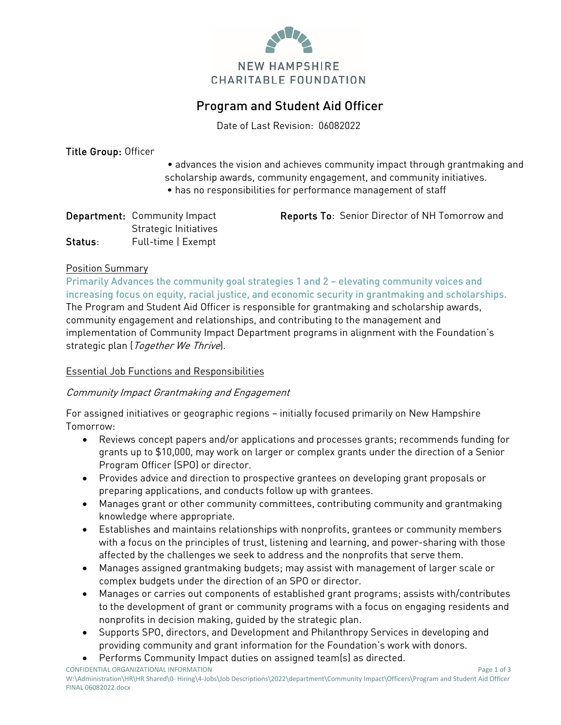

# Program and Student Aid Officer

Date of Last Revision: 06082022

#### Title Group: Officer

- advances the vision and achieves community impact through grantmaking and scholarship awards, community engagement, and community initiatives.
- has no responsibilities for performance management of staff

|         | <b>Department:</b> Community Impact | <b>Reports To: Senior Director of NH Tomorrow and</b> |
|---------|-------------------------------------|-------------------------------------------------------|
|         | Strategic Initiatives               |                                                       |
| Status: | Full-time   Exempt                  |                                                       |

#### Position Summary

Primarily Advances the community goal strategies 1 and 2 – elevating community voices and increasing focus on equity, racial justice, and economic security in grantmaking and scholarships. The Program and Student Aid Officer is responsible for grantmaking and scholarship awards, community engagement and relationships, and contributing to the management and implementation of Community Impact Department programs in alignment with the Foundation's strategic plan (*Together We Thrive*).

#### Essential Job Functions and Responsibilities

#### Community Impact Grantmaking and Engagement

For assigned initiatives or geographic regions – initially focused primarily on New Hampshire Tomorrow:

- Reviews concept papers and/or applications and processes grants; recommends funding for grants up to \$10,000, may work on larger or complex grants under the direction of a Senior Program Officer (SPO) or director.
- Provides advice and direction to prospective grantees on developing grant proposals or preparing applications, and conducts follow up with grantees.
- Manages grant or other community committees, contributing community and grantmaking knowledge where appropriate.
- Establishes and maintains relationships with nonprofits, grantees or community members with a focus on the principles of trust, listening and learning, and power-sharing with those affected by the challenges we seek to address and the nonprofits that serve them.
- Manages assigned grantmaking budgets; may assist with management of larger scale or complex budgets under the direction of an SPO or director.
- Manages or carries out components of established grant programs; assists with/contributes to the development of grant or community programs with a focus on engaging residents and nonprofits in decision making, guided by the strategic plan.
- Supports SPO, directors, and Development and Philanthropy Services in developing and providing community and grant information for the Foundation's work with donors.
- Performs Community Impact duties on assigned team(s) as directed.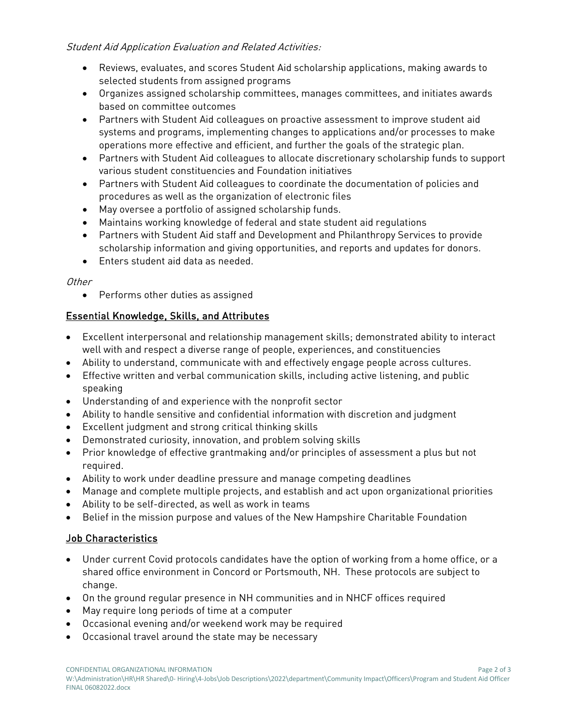#### Student Aid Application Evaluation and Related Activities:

- Reviews, evaluates, and scores Student Aid scholarship applications, making awards to selected students from assigned programs
- Organizes assigned scholarship committees, manages committees, and initiates awards based on committee outcomes
- Partners with Student Aid colleagues on proactive assessment to improve student aid systems and programs, implementing changes to applications and/or processes to make operations more effective and efficient, and further the goals of the strategic plan.
- Partners with Student Aid colleagues to allocate discretionary scholarship funds to support various student constituencies and Foundation initiatives
- Partners with Student Aid colleagues to coordinate the documentation of policies and procedures as well as the organization of electronic files
- May oversee a portfolio of assigned scholarship funds.
- Maintains working knowledge of federal and state student aid regulations
- Partners with Student Aid staff and Development and Philanthropy Services to provide scholarship information and giving opportunities, and reports and updates for donors.
- Enters student aid data as needed.

#### **Other**

• Performs other duties as assigned

# Essential Knowledge, Skills, and Attributes

- Excellent interpersonal and relationship management skills; demonstrated ability to interact well with and respect a diverse range of people, experiences, and constituencies
- Ability to understand, communicate with and effectively engage people across cultures.
- Effective written and verbal communication skills, including active listening, and public speaking
- Understanding of and experience with the nonprofit sector
- Ability to handle sensitive and confidential information with discretion and judgment
- Excellent judgment and strong critical thinking skills
- Demonstrated curiosity, innovation, and problem solving skills
- Prior knowledge of effective grantmaking and/or principles of assessment a plus but not required.
- Ability to work under deadline pressure and manage competing deadlines
- Manage and complete multiple projects, and establish and act upon organizational priorities
- Ability to be self-directed, as well as work in teams
- Belief in the mission purpose and values of the New Hampshire Charitable Foundation

## Job Characteristics

- Under current Covid protocols candidates have the option of working from a home office, or a shared office environment in Concord or Portsmouth, NH. These protocols are subject to change.
- On the ground regular presence in NH communities and in NHCF offices required
- May require long periods of time at a computer
- Occasional evening and/or weekend work may be required
- Occasional travel around the state may be necessary